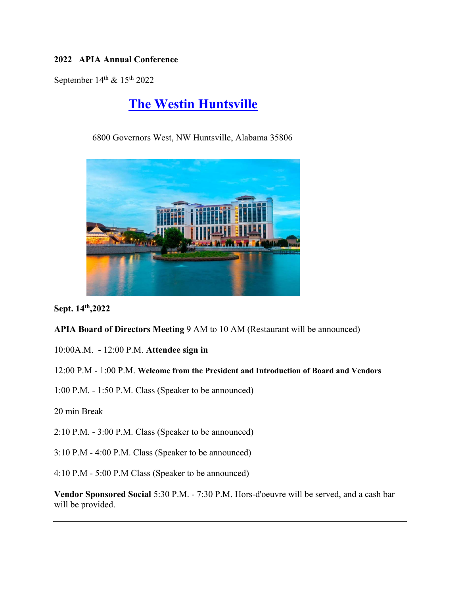## **2022 APIA Annual Conference**

September  $14^{\text{th}}$  &  $15^{\text{th}}$  2022

# **The Westin Huntsville**

6800 Governors West, NW Huntsville, Alabama 35806



**Sept. 14th,2022** 

**APIA Board of Directors Meeting** 9 AM to 10 AM (Restaurant will be announced)

10:00A.M. - 12:00 P.M. **Attendee sign in** 

#### 12:00 P.M - 1:00 P.M. **Welcome from the President and Introduction of Board and Vendors**

1:00 P.M. - 1:50 P.M. Class (Speaker to be announced)

20 min Break

2:10 P.M. - 3:00 P.M. Class (Speaker to be announced)

3:10 P.M - 4:00 P.M. Class (Speaker to be announced)

4:10 P.M - 5:00 P.M Class (Speaker to be announced)

**Vendor Sponsored Social** 5:30 P.M. - 7:30 P.M. Hors-d'oeuvre will be served, and a cash bar will be provided.